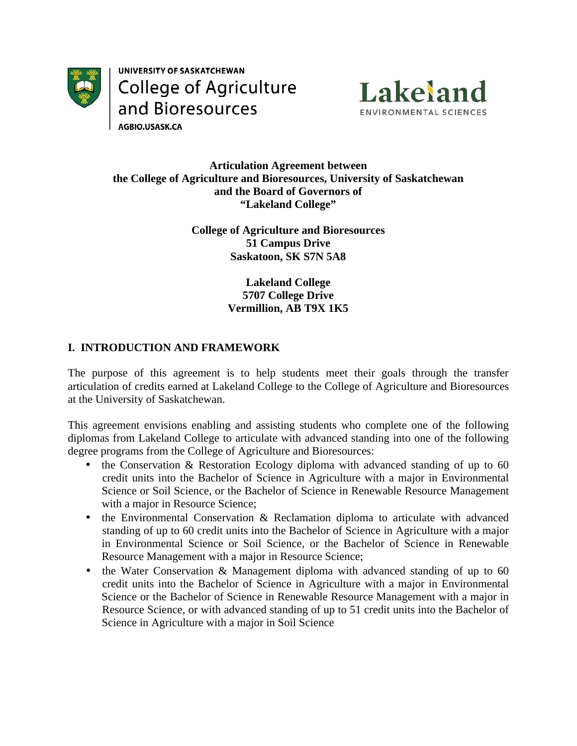

UNIVERSITY OF SASKATCHEWAN **College of Agriculture** and Bioresources AGBIO.USASK.CA



#### **Articulation Agreement between** the College of Agriculture and Bioresources, University of Saskatchewan and the Board of Governors of "Lakeland College"

**College of Agriculture and Bioresources 51 Campus Drive Saskatoon, SK S7N 5A8** 

> **Lakeland College** 5707 College Drive **Vermillion, AB T9X 1K5**

# **I. INTRODUCTION AND FRAMEWORK**

The purpose of this agreement is to help students meet their goals through the transfer articulation of credits earned at Lakeland College to the College of Agriculture and Bioresources at the University of Saskatchewan.

This agreement envisions enabling and assisting students who complete one of the following diplomas from Lakeland College to articulate with advanced standing into one of the following degree programs from the College of Agriculture and Bioresources:

- the Conservation & Restoration Ecology diploma with advanced standing of up to 60 credit units into the Bachelor of Science in Agriculture with a major in Environmental Science or Soil Science, or the Bachelor of Science in Renewable Resource Management with a major in Resource Science;
- the Environmental Conservation & Reclamation diploma to articulate with advanced standing of up to 60 credit units into the Bachelor of Science in Agriculture with a major in Environmental Science or Soil Science, or the Bachelor of Science in Renewable Resource Management with a major in Resource Science;
- the Water Conservation & Management diploma with advanced standing of up to  $60$ credit units into the Bachelor of Science in Agriculture with a major in Environmental Science or the Bachelor of Science in Renewable Resource Management with a major in Resource Science, or with advanced standing of up to 51 credit units into the Bachelor of Science in Agriculture with a major in Soil Science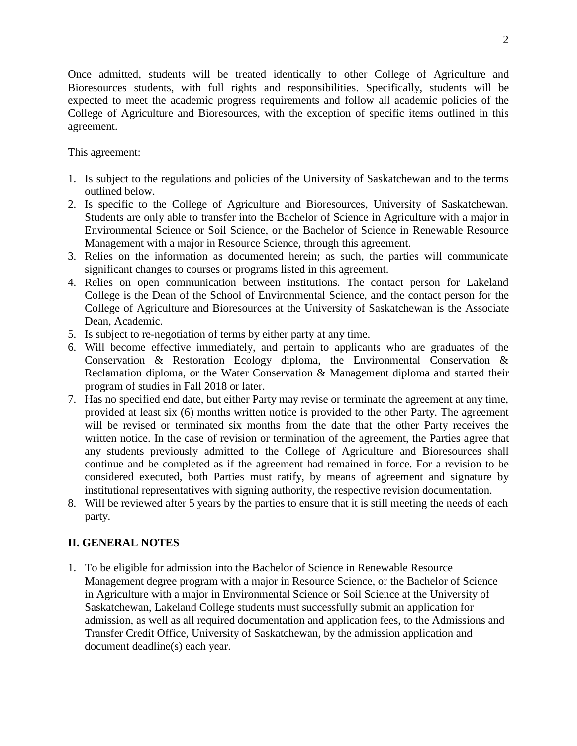Once admitted, students will be treated identically to other College of Agriculture and Bioresources students, with full rights and responsibilities. Specifically, students will be expected to meet the academic progress requirements and follow all academic policies of the College of Agriculture and Bioresources, with the exception of specific items outlined in this agreement.

This agreement:

- 1. Is subject to the regulations and policies of the University of Saskatchewan and to the terms outlined below.
- 2. Is specific to the College of Agriculture and Bioresources, University of Saskatchewan. Students are only able to transfer into the Bachelor of Science in Agriculture with a major in Environmental Science or Soil Science, or the Bachelor of Science in Renewable Resource Management with a major in Resource Science, through this agreement.
- 3. Relies on the information as documented herein; as such, the parties will communicate significant changes to courses or programs listed in this agreement.
- 4. Relies on open communication between institutions. The contact person for Lakeland College is the Dean of the School of Environmental Science, and the contact person for the College of Agriculture and Bioresources at the University of Saskatchewan is the Associate Dean, Academic.
- 5. Is subject to re-negotiation of terms by either party at any time.
- 6. Will become effective immediately, and pertain to applicants who are graduates of the Conservation & Restoration Ecology diploma, the Environmental Conservation & Reclamation diploma, or the Water Conservation & Management diploma and started their program of studies in Fall 2018 or later.
- 7. Has no specified end date, but either Party may revise or terminate the agreement at any time, provided at least six (6) months written notice is provided to the other Party. The agreement will be revised or terminated six months from the date that the other Party receives the written notice. In the case of revision or termination of the agreement, the Parties agree that any students previously admitted to the College of Agriculture and Bioresources shall continue and be completed as if the agreement had remained in force. For a revision to be considered executed, both Parties must ratify, by means of agreement and signature by institutional representatives with signing authority, the respective revision documentation.
- 8. Will be reviewed after 5 years by the parties to ensure that it is still meeting the needs of each party.

# **II. GENERAL NOTES**

1. To be eligible for admission into the Bachelor of Science in Renewable Resource Management degree program with a major in Resource Science, or the Bachelor of Science in Agriculture with a major in Environmental Science or Soil Science at the University of Saskatchewan, Lakeland College students must successfully submit an application for admission, as well as all required documentation and application fees, to the Admissions and Transfer Credit Office, University of Saskatchewan, by the admission application and document deadline(s) each year.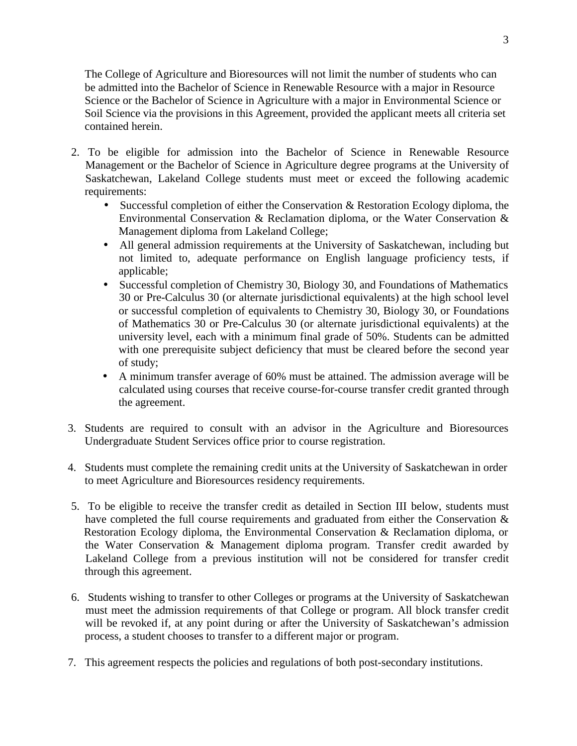The College of Agriculture and Bioresources will not limit the number of students who can be admitted into the Bachelor of Science in Renewable Resource with a major in Resource Science or the Bachelor of Science in Agriculture with a major in Environmental Science or Soil Science via the provisions in this Agreement, provided the applicant meets all criteria set contained herein.

- 2. To be eligible for admission into the Bachelor of Science in Renewable Resource Management or the Bachelor of Science in Agriculture degree programs at the University of Saskatchewan, Lakeland College students must meet or exceed the following academic requirements:
	- Successful completion of either the Conservation & Restoration Ecology diploma, the Environmental Conservation & Reclamation diploma, or the Water Conservation & Management diploma from Lakeland College;
	- All general admission requirements at the University of Saskatchewan, including but not limited to, adequate performance on English language proficiency tests, if applicable;
	- Successful completion of Chemistry 30, Biology 30, and Foundations of Mathematics 30 or Pre-Calculus 30 (or alternate jurisdictional equivalents) at the high school level or successful completion of equivalents to Chemistry 30, Biology 30, or Foundations of Mathematics 30 or Pre-Calculus 30 (or alternate jurisdictional equivalents) at the university level, each with a minimum final grade of 50%. Students can be admitted with one prerequisite subject deficiency that must be cleared before the second year of study;
	- A minimum transfer average of 60% must be attained. The admission average will be calculated using courses that receive course-for-course transfer credit granted through the agreement.
- 3. Students are required to consult with an advisor in the Agriculture and Bioresources Undergraduate Student Services office prior to course registration.
- 4. Students must complete the remaining credit units at the University of Saskatchewan in order to meet Agriculture and Bioresources residency requirements.
- 5. To be eligible to receive the transfer credit as detailed in Section III below, students must have completed the full course requirements and graduated from either the Conservation & Restoration Ecology diploma, the Environmental Conservation & Reclamation diploma, or the Water Conservation & Management diploma program. Transfer credit awarded by Lakeland College from a previous institution will not be considered for transfer credit through this agreement.
- 6. Students wishing to transfer to other Colleges or programs at the University of Saskatchewan must meet the admission requirements of that College or program. All block transfer credit will be revoked if, at any point during or after the University of Saskatchewan's admission process, a student chooses to transfer to a different major or program.
- 7. This agreement respects the policies and regulations of both post-secondary institutions.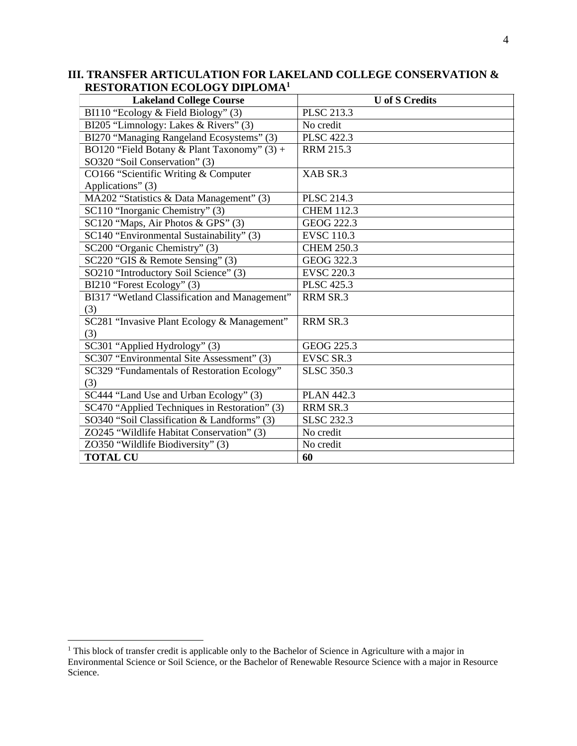| III. TRANSFER ARTICULATION FOR LAKELAND COLLEGE CONSERVATION & |  |  |  |
|----------------------------------------------------------------|--|--|--|
| <b>RESTORATION ECOLOGY DIPLOMA1</b>                            |  |  |  |

| <b>Lakeland College Course</b>                | <b>U</b> of S Credits |
|-----------------------------------------------|-----------------------|
| BI110 "Ecology & Field Biology" (3)           | PLSC 213.3            |
| BI205 "Limnology: Lakes & Rivers" (3)         | No credit             |
| BI270 "Managing Rangeland Ecosystems" (3)     | <b>PLSC 422.3</b>     |
| BO120 "Field Botany & Plant Taxonomy" (3) +   | <b>RRM 215.3</b>      |
| SO320 "Soil Conservation" (3)                 |                       |
| CO166 "Scientific Writing & Computer          | XAB SR.3              |
| Applications" (3)                             |                       |
| MA202 "Statistics & Data Management" (3)      | <b>PLSC 214.3</b>     |
| SC110 "Inorganic Chemistry" (3)               | <b>CHEM 112.3</b>     |
| SC120 "Maps, Air Photos & GPS" (3)            | GEOG 222.3            |
| SC140 "Environmental Sustainability" (3)      | <b>EVSC 110.3</b>     |
| SC200 "Organic Chemistry" (3)                 | <b>CHEM 250.3</b>     |
| SC220 "GIS & Remote Sensing" (3)              | GEOG 322.3            |
| SO210 "Introductory Soil Science" (3)         | <b>EVSC 220.3</b>     |
| BI210 "Forest Ecology" (3)                    | <b>PLSC 425.3</b>     |
| BI317 "Wetland Classification and Management" | RRM SR.3              |
| (3)                                           |                       |
| SC281 "Invasive Plant Ecology & Management"   | RRM SR.3              |
| (3)                                           |                       |
| SC301 "Applied Hydrology" (3)                 | GEOG 225.3            |
| SC307 "Environmental Site Assessment" (3)     | <b>EVSC SR.3</b>      |
| SC329 "Fundamentals of Restoration Ecology"   | <b>SLSC 350.3</b>     |
| (3)                                           |                       |
| SC444 "Land Use and Urban Ecology" (3)        | <b>PLAN 442.3</b>     |
| SC470 "Applied Techniques in Restoration" (3) | RRM SR.3              |
| SO340 "Soil Classification & Landforms" (3)   | <b>SLSC 232.3</b>     |
| ZO245 "Wildlife Habitat Conservation" (3)     | No credit             |
| ZO350 "Wildlife Biodiversity" (3)             | No credit             |
| <b>TOTAL CU</b>                               | 60                    |

<sup>&</sup>lt;sup>1</sup> This block of transfer credit is applicable only to the Bachelor of Science in Agriculture with a major in Environmental Science or Soil Science, or the Bachelor of Renewable Resource Science with a major in Resource Science.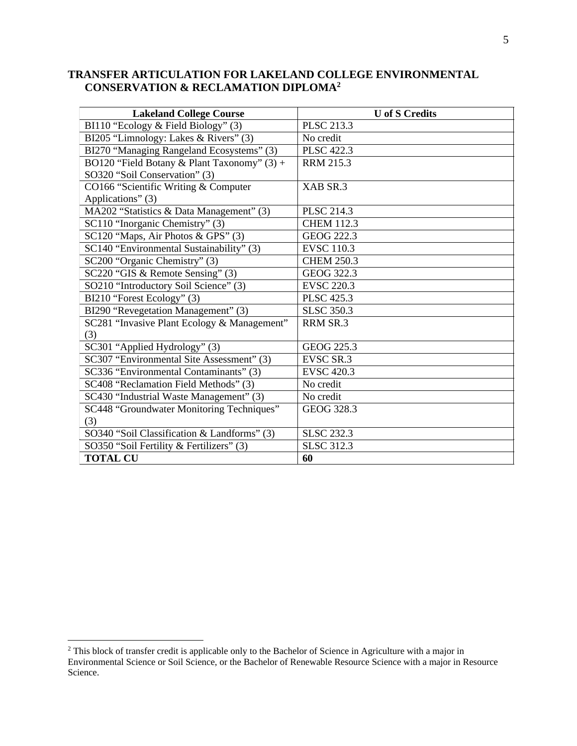### TRANSFER ARTICULATION FOR LAKELAND COLLEGE ENVIRONMENTAL **CONSERVATION & RECLAMATION DIPLOMA<sup>2</sup>**

| <b>Lakeland College Course</b>              | <b>U</b> of S Credits |
|---------------------------------------------|-----------------------|
| BI110 "Ecology & Field Biology" (3)         | <b>PLSC 213.3</b>     |
| BI205 "Limnology: Lakes & Rivers" (3)       | No credit             |
| BI270 "Managing Rangeland Ecosystems" (3)   | <b>PLSC 422.3</b>     |
| BO120 "Field Botany & Plant Taxonomy" (3) + | <b>RRM 215.3</b>      |
| SO320 "Soil Conservation" (3)               |                       |
| CO166 "Scientific Writing & Computer        | XAB SR.3              |
| Applications" (3)                           |                       |
| MA202 "Statistics & Data Management" (3)    | <b>PLSC 214.3</b>     |
| SC110 "Inorganic Chemistry" (3)             | <b>CHEM 112.3</b>     |
| SC120 "Maps, Air Photos & GPS" (3)          | GEOG 222.3            |
| SC140 "Environmental Sustainability" (3)    | <b>EVSC 110.3</b>     |
| SC200 "Organic Chemistry" (3)               | <b>CHEM 250.3</b>     |
| SC220 "GIS & Remote Sensing" (3)            | GEOG 322.3            |
| SO210 "Introductory Soil Science" (3)       | <b>EVSC 220.3</b>     |
| BI210 "Forest Ecology" (3)                  | <b>PLSC 425.3</b>     |
| BI290 "Revegetation Management" (3)         | <b>SLSC 350.3</b>     |
| SC281 "Invasive Plant Ecology & Management" | RRM SR.3              |
| (3)                                         |                       |
| SC301 "Applied Hydrology" (3)               | GEOG 225.3            |
| SC307 "Environmental Site Assessment" (3)   | <b>EVSC SR.3</b>      |
| SC336 "Environmental Contaminants" (3)      | <b>EVSC 420.3</b>     |
| SC408 "Reclamation Field Methods" (3)       | No credit             |
| SC430 "Industrial Waste Management" (3)     | No credit             |
| SC448 "Groundwater Monitoring Techniques"   | GEOG 328.3            |
| (3)                                         |                       |
| SO340 "Soil Classification & Landforms" (3) | <b>SLSC 232.3</b>     |
| SO350 "Soil Fertility & Fertilizers" (3)    | <b>SLSC 312.3</b>     |
| <b>TOTAL CU</b>                             | 60                    |

<sup>&</sup>lt;sup>2</sup> This block of transfer credit is applicable only to the Bachelor of Science in Agriculture with a major in Environmental Science or Soil Science, or the Bachelor of Renewable Resource Science with a major in Resource Science.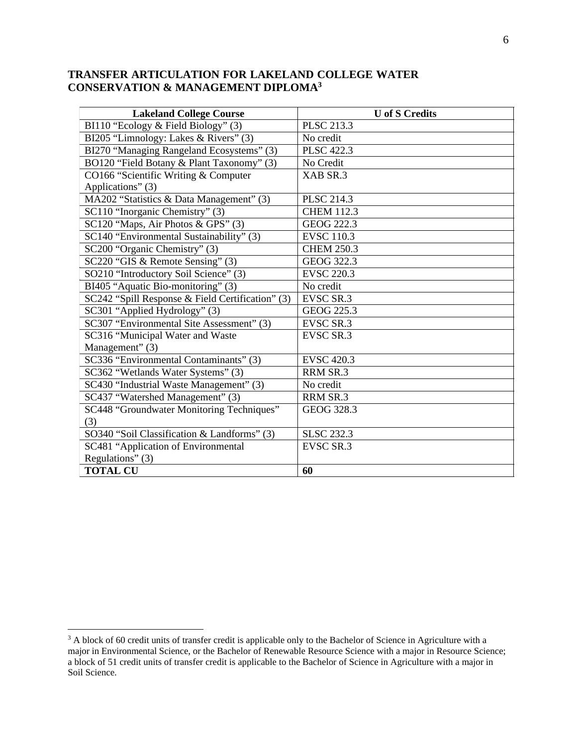#### TRANSFER ARTICULATION FOR LAKELAND COLLEGE WATER **CONSERVATION & MANAGEMENT DIPLOMA3**

| <b>Lakeland College Course</b>                   | <b>U</b> of S Credits |
|--------------------------------------------------|-----------------------|
| BI110 "Ecology & Field Biology" (3)              | <b>PLSC 213.3</b>     |
| BI205 "Limnology: Lakes & Rivers" (3)            | No credit             |
| BI270 "Managing Rangeland Ecosystems" (3)        | <b>PLSC 422.3</b>     |
| BO120 "Field Botany & Plant Taxonomy" (3)        | No Credit             |
| CO166 "Scientific Writing & Computer             | XAB SR.3              |
| Applications" (3)                                |                       |
| MA202 "Statistics & Data Management" (3)         | PLSC 214.3            |
| SC110 "Inorganic Chemistry" (3)                  | <b>CHEM 112.3</b>     |
| SC120 "Maps, Air Photos & GPS" (3)               | GEOG 222.3            |
| SC140 "Environmental Sustainability" (3)         | <b>EVSC 110.3</b>     |
| SC200 "Organic Chemistry" (3)                    | <b>CHEM 250.3</b>     |
| SC220 "GIS & Remote Sensing" (3)                 | GEOG 322.3            |
| SO210 "Introductory Soil Science" (3)            | <b>EVSC 220.3</b>     |
| BI405 "Aquatic Bio-monitoring" (3)               | No credit             |
| SC242 "Spill Response & Field Certification" (3) | <b>EVSC SR.3</b>      |
| SC301 "Applied Hydrology" (3)                    | GEOG 225.3            |
| SC307 "Environmental Site Assessment" (3)        | <b>EVSC SR.3</b>      |
| SC316 "Municipal Water and Waste                 | <b>EVSC SR.3</b>      |
| Management" (3)                                  |                       |
| SC336 "Environmental Contaminants" (3)           | <b>EVSC 420.3</b>     |
| SC362 "Wetlands Water Systems" (3)               | RRM SR.3              |
| SC430 "Industrial Waste Management" (3)          | No credit             |
| SC437 "Watershed Management" (3)                 | RRM SR.3              |
| SC448 "Groundwater Monitoring Techniques"        | GEOG 328.3            |
| (3)                                              |                       |
| SO340 "Soil Classification & Landforms" (3)      | <b>SLSC 232.3</b>     |
| SC481 "Application of Environmental              | <b>EVSC SR.3</b>      |
| Regulations" (3)                                 |                       |
| <b>TOTAL CU</b>                                  | 60                    |

 $3$  A block of 60 credit units of transfer credit is applicable only to the Bachelor of Science in Agriculture with a major in Environmental Science, or the Bachelor of Renewable Resource Science with a major in Resource Soil Science.